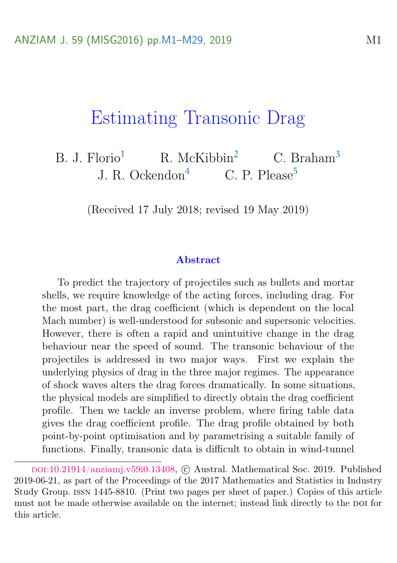# <span id="page-0-0"></span>Estimating Transonic Drag

B. J. Florio<sup>[1](#page-27-0)</sup> R. McKibbin<sup>[2](#page-28-1)</sup> C. Braham<sup>[3](#page-28-2)</sup> J. R. Ockendon<sup>[4](#page-28-3)</sup> C. P. Please<sup>[5](#page-28-0)</sup>

(Received 17 July 2018; revised 19 May 2019)

#### Abstract

To predict the trajectory of projectiles such as bullets and mortar shells, we require knowledge of the acting forces, including drag. For the most part, the drag coefficient (which is dependent on the local Mach number) is well-understood for subsonic and supersonic velocities. However, there is often a rapid and unintuitive change in the drag behaviour near the speed of sound. The transonic behaviour of the projectiles is addressed in two major ways. First we explain the underlying physics of drag in the three major regimes. The appearance of shock waves alters the drag forces dramatically. In some situations, the physical models are simplified to directly obtain the drag coefficient profile. Then we tackle an inverse problem, where firing table data gives the drag coefficient profile. The drag profile obtained by both point-by-point optimisation and by parametrising a suitable family of functions. Finally, transonic data is difficult to obtain in wind-tunnel

doi:[10.21914/anziamj.v59i0.13408,](https://doi.org/10.21914/anziamj.v59i0.13408) c Austral. Mathematical Soc. 2019. Published 2019-06-21, as part of the Proceedings of the 2017 Mathematics and Statistics in Industry Study Group. issn 1445-8810. (Print two pages per sheet of paper.) Copies of this article must not be made otherwise available on the internet; instead link directly to the DOI for this article.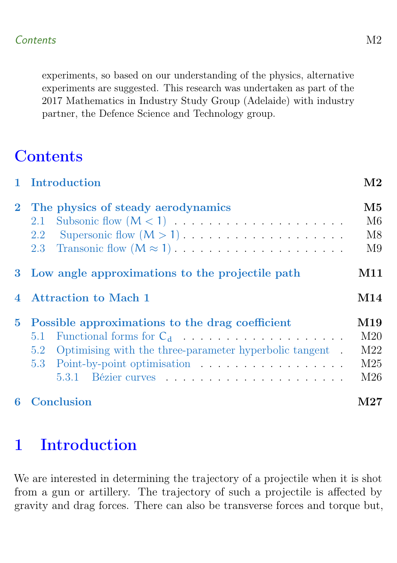experiments, so based on our understanding of the physics, alternative experiments are suggested. This research was undertaken as part of the 2017 Mathematics in Industry Study Group (Adelaide) with industry partner, the Defence Science and Technology group.

# **Contents**

|             | 1 Introduction                                                 | $\rm M2$        |  |  |  |  |
|-------------|----------------------------------------------------------------|-----------------|--|--|--|--|
|             | 2 The physics of steady aerodynamics                           |                 |  |  |  |  |
|             | 2.1                                                            | M6              |  |  |  |  |
|             | 2.2                                                            | M8              |  |  |  |  |
|             | 2.3                                                            | M9              |  |  |  |  |
|             | 3 Low angle approximations to the projectile path              | M11             |  |  |  |  |
|             | 4 Attraction to Mach 1                                         |                 |  |  |  |  |
| $5^{\circ}$ | Possible approximations to the drag coefficient                |                 |  |  |  |  |
|             | 5.1 Functional forms for $C_d$                                 | M <sub>20</sub> |  |  |  |  |
|             | Optimising with the three-parameter hyperbolic tangent.<br>5.2 | M22             |  |  |  |  |
|             |                                                                | M <sub>25</sub> |  |  |  |  |
|             |                                                                | M26             |  |  |  |  |
| 6           | Conclusion                                                     |                 |  |  |  |  |

# <span id="page-1-0"></span>1 Introduction

We are interested in determining the trajectory of a projectile when it is shot from a gun or artillery. The trajectory of such a projectile is affected by gravity and drag forces. There can also be transverse forces and torque but,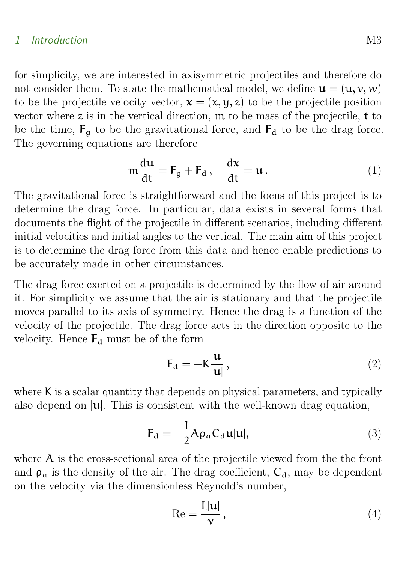#### 1 Introduction M3

for simplicity, we are interested in axisymmetric projectiles and therefore do not consider them. To state the mathematical model, we define  $\mathbf{u} = (\mathbf{u}, \mathbf{v}, \mathbf{w})$ to be the projectile velocity vector,  $\mathbf{x} = (\mathbf{x}, \mathbf{y}, \mathbf{z})$  to be the projectile position vector where  $z$  is in the vertical direction,  $m$  to be mass of the projectile,  $t$  to be the time,  $F_q$  to be the gravitational force, and  $F_d$  to be the drag force. The governing equations are therefore

$$
m\frac{du}{dt} = F_g + F_d, \quad \frac{dx}{dt} = u.
$$
 (1)

The gravitational force is straightforward and the focus of this project is to determine the drag force. In particular, data exists in several forms that documents the flight of the projectile in different scenarios, including different initial velocities and initial angles to the vertical. The main aim of this project is to determine the drag force from this data and hence enable predictions to be accurately made in other circumstances.

The drag force exerted on a projectile is determined by the flow of air around it. For simplicity we assume that the air is stationary and that the projectile moves parallel to its axis of symmetry. Hence the drag is a function of the velocity of the projectile. The drag force acts in the direction opposite to the velocity. Hence  $F_d$  must be of the form

$$
\mathbf{F}_{\mathrm{d}} = -\mathbf{K} \frac{\mathbf{u}}{|\mathbf{u}|},\tag{2}
$$

where K is a scalar quantity that depends on physical parameters, and typically also depend on  $|u|$ . This is consistent with the well-known drag equation,

$$
\mathbf{F}_{\mathbf{d}} = -\frac{1}{2} A \rho_{\mathbf{a}} C_{\mathbf{d}} \mathbf{u} | \mathbf{u} |,
$$
 (3)

where A is the cross-sectional area of the projectile viewed from the the front and  $\rho_a$  is the density of the air. The drag coefficient,  $C_d$ , may be dependent on the velocity via the dimensionless Reynold's number,

$$
\operatorname{Re} = \frac{\operatorname{L}|\mathbf{u}|}{\nu},\tag{4}
$$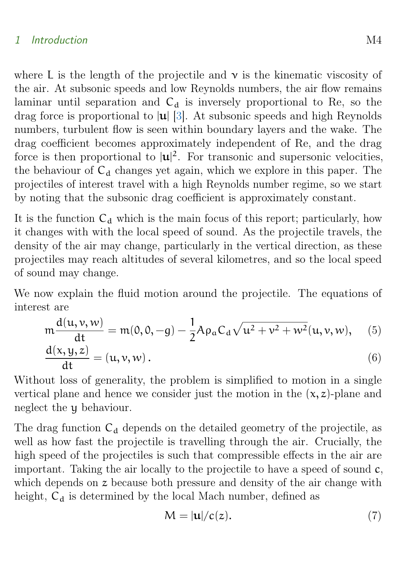### <span id="page-3-0"></span>1 Introduction M4

where L is the length of the projectile and  $\nu$  is the kinematic viscosity of the air. At subsonic speeds and low Reynolds numbers, the air flow remains laminar until separation and  $C_d$  is inversely proportional to Re, so the drag force is proportional to  $|u|$  [\[3\]](#page-27-1). At subsonic speeds and high Reynolds numbers, turbulent flow is seen within boundary layers and the wake. The drag coefficient becomes approximately independent of Re, and the drag force is then proportional to  $|\mathbf{u}|^2$ . For transonic and supersonic velocities, the behaviour of  $C_d$  changes yet again, which we explore in this paper. The projectiles of interest travel with a high Reynolds number regime, so we start by noting that the subsonic drag coefficient is approximately constant.

It is the function  $C_d$  which is the main focus of this report; particularly, how it changes with with the local speed of sound. As the projectile travels, the density of the air may change, particularly in the vertical direction, as these projectiles may reach altitudes of several kilometres, and so the local speed of sound may change.

We now explain the fluid motion around the projectile. The equations of interest are

$$
m\frac{d(u, v, w)}{dt} = m(0, 0, -g) - \frac{1}{2}A\rho_a C_d \sqrt{u^2 + v^2 + w^2}(u, v, w), \quad (5)
$$

$$
\frac{d(x,y,z)}{dt} = (u,v,w).
$$
 (6)

Without loss of generality, the problem is simplified to motion in a single vertical plane and hence we consider just the motion in the  $(x, z)$ -plane and neglect the y behaviour.

The drag function  $C_d$  depends on the detailed geometry of the projectile, as well as how fast the projectile is travelling through the air. Crucially, the high speed of the projectiles is such that compressible effects in the air are important. Taking the air locally to the projectile to have a speed of sound c, which depends on z because both pressure and density of the air change with height,  $C_d$  is determined by the local Mach number, defined as

$$
M = |\mathbf{u}|/c(z). \tag{7}
$$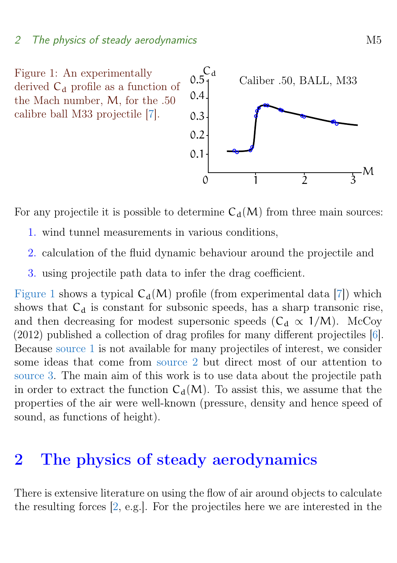### <span id="page-4-5"></span>2 The physics of steady aerodynamics and metal metal metal metal  $M5$

<span id="page-4-1"></span>Figure 1: An experimentally derived  $C_d$  profile as a function of the Mach number, M, for the .50 calibre ball M33 projectile [\[7\]](#page-27-2).



<span id="page-4-2"></span>For any projectile it is possible to determine  $C_d(M)$  from three main sources:

- 1. wind tunnel measurements in various conditions,
- <span id="page-4-4"></span><span id="page-4-3"></span>2. calculation of the fluid dynamic behaviour around the projectile and
- 3. using projectile path data to infer the drag coefficient.

[Figure 1](#page-4-1) shows a typical  $C_d(M)$  profile (from experimental data [\[7\]](#page-27-2)) which shows that  $C_d$  is constant for subsonic speeds, has a sharp transonic rise, and then decreasing for modest supersonic speeds ( $C_d \propto 1/M$ ). McCoy (2012) published a collection of drag profiles for many different projectiles [\[6\]](#page-27-3). Because [source 1](#page-4-2) is not available for many projectiles of interest, we consider some ideas that come from [source 2](#page-4-3) but direct most of our attention to [source 3.](#page-4-4) The main aim of this work is to use data about the projectile path in order to extract the function  $C_d(M)$ . To assist this, we assume that the properties of the air were well-known (pressure, density and hence speed of sound, as functions of height).

## <span id="page-4-0"></span>2 The physics of steady aerodynamics

There is extensive literature on using the flow of air around objects to calculate the resulting forces [\[2,](#page-27-4) e.g.]. For the projectiles here we are interested in the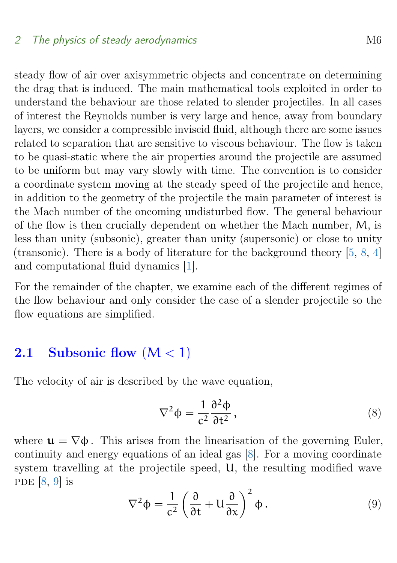<span id="page-5-1"></span>steady flow of air over axisymmetric objects and concentrate on determining the drag that is induced. The main mathematical tools exploited in order to understand the behaviour are those related to slender projectiles. In all cases of interest the Reynolds number is very large and hence, away from boundary layers, we consider a compressible inviscid fluid, although there are some issues related to separation that are sensitive to viscous behaviour. The flow is taken to be quasi-static where the air properties around the projectile are assumed to be uniform but may vary slowly with time. The convention is to consider a coordinate system moving at the steady speed of the projectile and hence, in addition to the geometry of the projectile the main parameter of interest is the Mach number of the oncoming undisturbed flow. The general behaviour of the flow is then crucially dependent on whether the Mach number, M, is less than unity (subsonic), greater than unity (supersonic) or close to unity (transonic). There is a body of literature for the background theory [\[5,](#page-27-5) [8,](#page-27-6) [4\]](#page-27-7) and computational fluid dynamics [\[1\]](#page-27-8).

For the remainder of the chapter, we examine each of the different regimes of the flow behaviour and only consider the case of a slender projectile so the flow equations are simplified.

## <span id="page-5-0"></span>2.1 Subsonic flow  $(M < 1)$

The velocity of air is described by the wave equation,

$$
\nabla^2 \Phi = \frac{1}{c^2} \frac{\partial^2 \Phi}{\partial t^2},\tag{8}
$$

where  $\mathbf{u} = \nabla \phi$ . This arises from the linearisation of the governing Euler. continuity and energy equations of an ideal gas [\[8\]](#page-27-6). For a moving coordinate system travelling at the projectile speed, U, the resulting modified wave PDE  $[8, 9]$  $[8, 9]$  $[8, 9]$  is

$$
\nabla^2 \Phi = \frac{1}{c^2} \left( \frac{\partial}{\partial t} + U \frac{\partial}{\partial x} \right)^2 \Phi.
$$
 (9)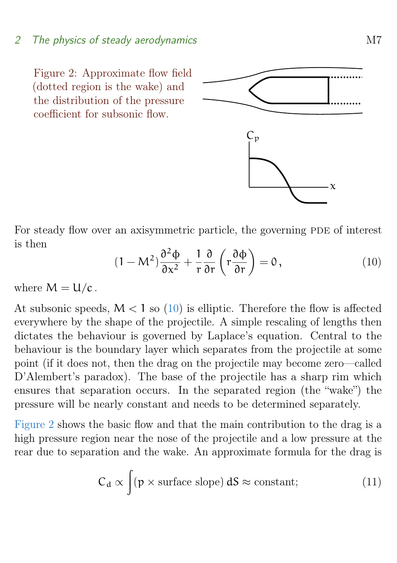## 2 The physics of steady aerodynamics M7

<span id="page-6-1"></span>Figure 2: Approximate flow field (dotted region is the wake) and the distribution of the pressure coefficient for subsonic flow.



For steady flow over an axisymmetric particle, the governing PDE of interest is then

<span id="page-6-0"></span>
$$
(1 - M^2) \frac{\partial^2 \phi}{\partial x^2} + \frac{1}{r} \frac{\partial}{\partial r} \left( r \frac{\partial \phi}{\partial r} \right) = 0, \qquad (10)
$$

where  $M = U/c$ .

At subsonic speeds,  $M < 1$  so [\(10\)](#page-6-0) is elliptic. Therefore the flow is affected everywhere by the shape of the projectile. A simple rescaling of lengths then dictates the behaviour is governed by Laplace's equation. Central to the behaviour is the boundary layer which separates from the projectile at some point (if it does not, then the drag on the projectile may become zero—called D'Alembert's paradox). The base of the projectile has a sharp rim which ensures that separation occurs. In the separated region (the "wake") the pressure will be nearly constant and needs to be determined separately.

[Figure 2](#page-6-1) shows the basic flow and that the main contribution to the drag is a high pressure region near the nose of the projectile and a low pressure at the rear due to separation and the wake. An approximate formula for the drag is

$$
C_d \propto \int (p \times \text{surface slope}) \, dS \approx \text{constant}; \tag{11}
$$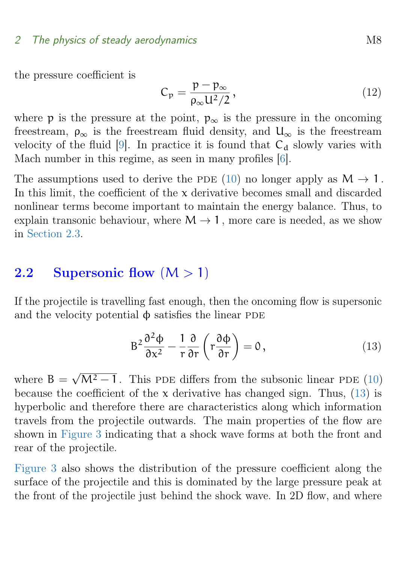## <span id="page-7-2"></span>2 The physics of steady aerodynamics M8

the pressure coefficient is

$$
C_p = \frac{p - p_{\infty}}{\rho_{\infty} U^2 / 2},
$$
\n(12)

where p is the pressure at the point,  $p_{\infty}$  is the pressure in the oncoming freestream,  $\rho_{\infty}$  is the freestream fluid density, and  $U_{\infty}$  is the freestream velocity of the fluid  $[9]$ . In practice it is found that  $C_d$  slowly varies with Mach number in this regime, as seen in many profiles [\[6\]](#page-27-3).

The assumptions used to derive the PDE [\(10\)](#page-6-0) no longer apply as  $M \to 1$ . In this limit, the coefficient of the x derivative becomes small and discarded nonlinear terms become important to maintain the energy balance. Thus, to explain transonic behaviour, where  $M \rightarrow 1$ , more care is needed, as we show in [Section 2.3.](#page-8-0)

## <span id="page-7-0"></span>2.2 Supersonic flow  $(M > 1)$

If the projectile is travelling fast enough, then the oncoming flow is supersonic and the velocity potential  $\phi$  satisfies the linear PDE

<span id="page-7-1"></span>
$$
B^{2} \frac{\partial^{2} \Phi}{\partial x^{2}} - \frac{1}{r} \frac{\partial}{\partial r} \left( r \frac{\partial \Phi}{\partial r} \right) = 0, \qquad (13)
$$

where  $B =$  $\sqrt{M^2-1}$ . This PDE differs from the subsonic linear PDE [\(10\)](#page-6-0) because the coefficient of the  $x$  derivative has changed sign. Thus, [\(13\)](#page-7-1) is hyperbolic and therefore there are characteristics along which information travels from the projectile outwards. The main properties of the flow are shown in [Figure 3](#page-8-1) indicating that a shock wave forms at both the front and rear of the projectile.

[Figure 3](#page-8-1) also shows the distribution of the pressure coefficient along the surface of the projectile and this is dominated by the large pressure peak at the front of the projectile just behind the shock wave. In 2D flow, and where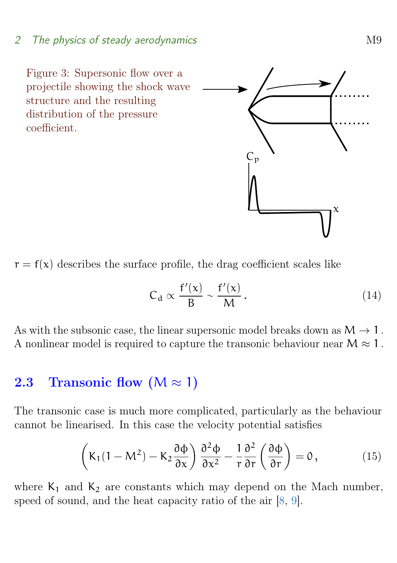## <span id="page-8-3"></span>2 The physics of steady aerodynamics M9

<span id="page-8-1"></span>Figure 3: Supersonic flow over a projectile showing the shock wave structure and the resulting distribution of the pressure coefficient.

 $r = f(x)$  describes the surface profile, the drag coefficient scales like

$$
C_d \propto \frac{f'(x)}{B} \sim \frac{f'(x)}{M} \,. \tag{14}
$$

As with the subsonic case, the linear supersonic model breaks down as  $M \rightarrow 1$ . A nonlinear model is required to capture the transonic behaviour near  $M \approx 1$ .

## <span id="page-8-0"></span>2.3 Transonic flow  $(M \approx 1)$

The transonic case is much more complicated, particularly as the behaviour cannot be linearised. In this case the velocity potential satisfies

<span id="page-8-2"></span>
$$
\left(K_1(1-M^2)-K_2\frac{\partial\Phi}{\partial x}\right)\frac{\partial^2\Phi}{\partial x^2}-\frac{1}{r}\frac{\partial^2}{\partial r}\left(\frac{\partial\Phi}{\partial r}\right)=0\,,\tag{15}
$$

where  $K_1$  and  $K_2$  are constants which may depend on the Mach number, speed of sound, and the heat capacity ratio of the air  $[8, 9]$  $[8, 9]$  $[8, 9]$ .

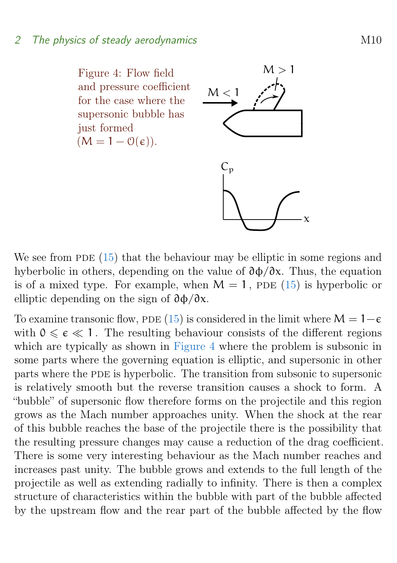<span id="page-9-0"></span>Figure 4: Flow field and pressure coefficient for the case where the supersonic bubble has just formed  $(M = 1 - \mathcal{O}(\epsilon)).$ 



We see from PDE  $(15)$  that the behaviour may be elliptic in some regions and hyberbolic in others, depending on the value of ∂φ/∂x. Thus, the equation is of a mixed type. For example, when  $M = 1$ , PDE [\(15\)](#page-8-2) is hyperbolic or elliptic depending on the sign of  $\partial \phi / \partial x$ .

To examine transonic flow, PDE [\(15\)](#page-8-2) is considered in the limit where  $M = 1-\epsilon$ with  $0 \leq \epsilon \leq 1$ . The resulting behaviour consists of the different regions which are typically as shown in [Figure 4](#page-9-0) where the problem is subsonic in some parts where the governing equation is elliptic, and supersonic in other parts where the PDE is hyperbolic. The transition from subsonic to supersonic is relatively smooth but the reverse transition causes a shock to form. A "bubble" of supersonic flow therefore forms on the projectile and this region grows as the Mach number approaches unity. When the shock at the rear of this bubble reaches the base of the projectile there is the possibility that the resulting pressure changes may cause a reduction of the drag coefficient. There is some very interesting behaviour as the Mach number reaches and increases past unity. The bubble grows and extends to the full length of the projectile as well as extending radially to infinity. There is then a complex structure of characteristics within the bubble with part of the bubble affected by the upstream flow and the rear part of the bubble affected by the flow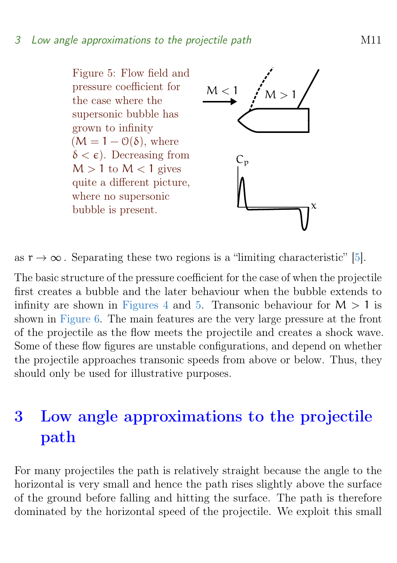<span id="page-10-2"></span><span id="page-10-1"></span>Figure 5: Flow field and pressure coefficient for the case where the supersonic bubble has grown to infinity  $(M = 1 - \mathcal{O}(\delta))$ , where  $\delta < \epsilon$ ). Decreasing from  $M > 1$  to  $M < 1$  gives quite a different picture, where no supersonic bubble is present.



as  $r \to \infty$ . Separating these two regions is a "limiting characteristic" [\[5\]](#page-27-5).

The basic structure of the pressure coefficient for the case of when the projectile first creates a bubble and the later behaviour when the bubble extends to infinity are shown in [Figures 4](#page-9-0) and [5.](#page-10-1) Transonic behaviour for  $M > 1$  is shown in [Figure 6.](#page-11-0) The main features are the very large pressure at the front of the projectile as the flow meets the projectile and creates a shock wave. Some of these flow figures are unstable configurations, and depend on whether the projectile approaches transonic speeds from above or below. Thus, they should only be used for illustrative purposes.

# <span id="page-10-0"></span>3 Low angle approximations to the projectile path

For many projectiles the path is relatively straight because the angle to the horizontal is very small and hence the path rises slightly above the surface of the ground before falling and hitting the surface. The path is therefore dominated by the horizontal speed of the projectile. We exploit this small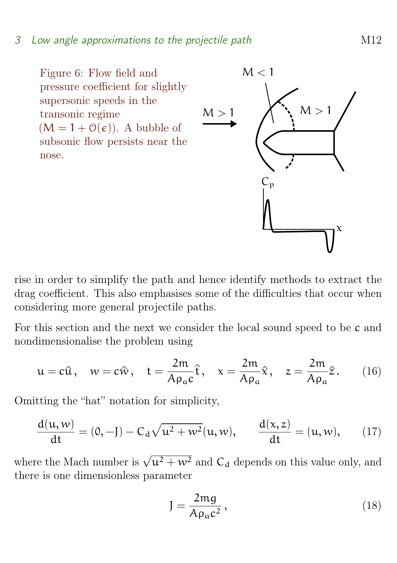### 3 Low angle approximations to the projectile path M12

<span id="page-11-0"></span>Figure 6: Flow field and pressure coefficient for slightly supersonic speeds in the transonic regime  $(M = 1 + \mathcal{O}(\epsilon))$ . A bubble of subsonic flow persists near the nose.



rise in order to simplify the path and hence identify methods to extract the drag coefficient. This also emphasises some of the difficulties that occur when considering more general projectile paths.

For this section and the next we consider the local sound speed to be c and nondimensionalise the problem using

$$
u = c\hat{u}, \quad w = c\hat{w}, \quad t = \frac{2m}{A\rho_a c}\hat{t}, \quad x = \frac{2m}{A\rho_a}\hat{x}, \quad z = \frac{2m}{A\rho_a}\hat{z}.
$$
 (16)

Omitting the "hat" notation for simplicity,

$$
\frac{d(u, w)}{dt} = (0, -J) - C_d \sqrt{u^2 + w^2}(u, w), \qquad \frac{d(x, z)}{dt} = (u, w), \qquad (17)
$$

where the Mach number is  $\sqrt{u^2 + w^2}$  and  $C_d$  depends on this value only, and there is one dimensionless parameter

$$
J = \frac{2mg}{A\rho_a c^2},\tag{18}
$$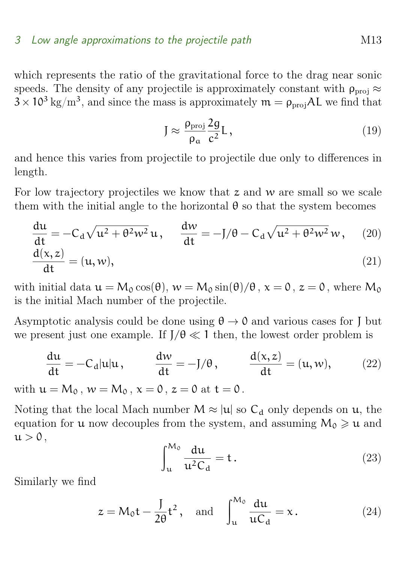#### 3 Low angle approximations to the projectile path M13

which represents the ratio of the gravitational force to the drag near sonic speeds. The density of any projectile is approximately constant with  $\rho_{\text{proj}} \approx$  $3 \times 10^3 \text{ kg/m}^3$ , and since the mass is approximately  $\mathfrak{m} = \rho_{\text{proj}}AL$  we find that

$$
J \approx \frac{\rho_{\rm proj}}{\rho_a} \frac{2g}{c^2} L \,, \tag{19}
$$

and hence this varies from projectile to projectile due only to differences in length.

For low trajectory projectiles we know that  $z$  and  $w$  are small so we scale them with the initial angle to the horizontal  $\theta$  so that the system becomes

$$
\frac{du}{dt} = -C_d \sqrt{u^2 + \theta^2 w^2} u, \quad \frac{dw}{dt} = -J/\theta - C_d \sqrt{u^2 + \theta^2 w^2} w,
$$
 (20)  

$$
\frac{d(x, z)}{dt} = (u, w),
$$
 (21)

with initial data  $u = M_0 \cos(\theta)$ ,  $w = M_0 \sin(\theta)/\theta$ ,  $x = 0$ ,  $z = 0$ , where  $M_0$ is the initial Mach number of the projectile.

Asymptotic analysis could be done using  $\theta \to 0$  and various cases for J but we present just one example. If  $J/\theta \ll 1$  then, the lowest order problem is

$$
\frac{du}{dt} = -C_d|u|u, \qquad \frac{dw}{dt} = -J/\theta, \qquad \frac{d(x, z)}{dt} = (u, w), \qquad (22)
$$

with  $u = M_0$ ,  $w = M_0$ ,  $x = 0$ ,  $z = 0$  at  $t = 0$ .

Noting that the local Mach number  $M \approx |u|$  so  $C_d$  only depends on u, the equation for **u** now decouples from the system, and assuming  $M_0 \geq u$  and  $u > 0$ ,

$$
\int_{u}^{M_0} \frac{du}{u^2 C_d} = t.
$$
\n(23)

Similarly we find

<span id="page-12-0"></span>
$$
z = M_0 t - \frac{J}{2\theta} t^2, \text{ and } \int_{u}^{M_0} \frac{du}{uC_d} = x.
$$
 (24)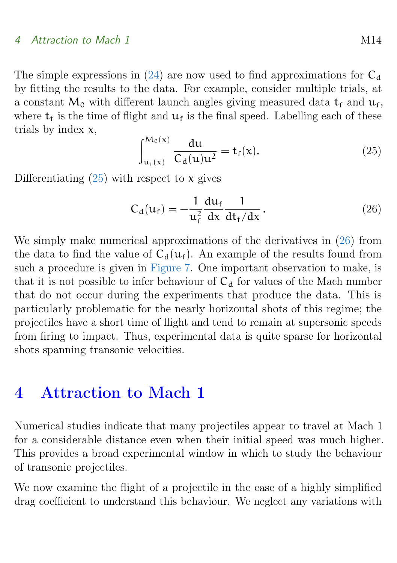The simple expressions in [\(24\)](#page-12-0) are now used to find approximations for  $C_d$ by fitting the results to the data. For example, consider multiple trials, at a constant  $M_0$  with different launch angles giving measured data  $t_f$  and  $u_f$ , where  $t_f$  is the time of flight and  $u_f$  is the final speed. Labelling each of these trials by index  $x$ ,

<span id="page-13-1"></span>
$$
\int_{u_f(x)}^{M_0(x)} \frac{du}{C_d(u)u^2} = t_f(x). \tag{25}
$$

Differentiating  $(25)$  with respect to x gives

<span id="page-13-2"></span>
$$
C_{d}(u_{f}) = -\frac{1}{u_{f}^{2}} \frac{du_{f}}{dx} \frac{1}{dt_{f}/dx}.
$$
 (26)

We simply make numerical approximations of the derivatives in [\(26\)](#page-13-2) from the data to find the value of  $C_d(u_f)$ . An example of the results found from such a procedure is given in [Figure 7.](#page-14-0) One important observation to make, is that it is not possible to infer behaviour of  $C_d$  for values of the Mach number that do not occur during the experiments that produce the data. This is particularly problematic for the nearly horizontal shots of this regime; the projectiles have a short time of flight and tend to remain at supersonic speeds from firing to impact. Thus, experimental data is quite sparse for horizontal shots spanning transonic velocities.

## <span id="page-13-0"></span>4 Attraction to Mach 1

Numerical studies indicate that many projectiles appear to travel at Mach 1 for a considerable distance even when their initial speed was much higher. This provides a broad experimental window in which to study the behaviour of transonic projectiles.

We now examine the flight of a projectile in the case of a highly simplified drag coefficient to understand this behaviour. We neglect any variations with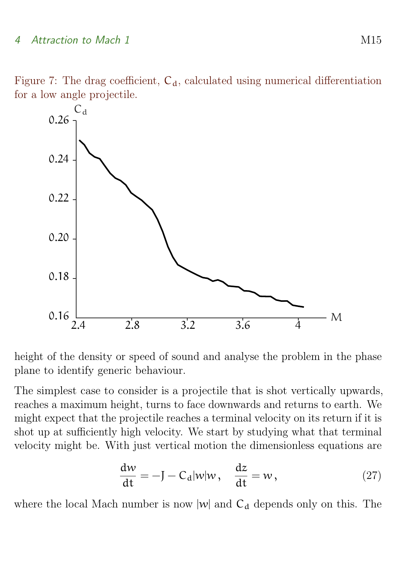Figure 7: The drag coefficient,  $C_d$ , calculated using numerical differentiation for a low angle projectile.

<span id="page-14-0"></span>

height of the density or speed of sound and analyse the problem in the phase plane to identify generic behaviour.

The simplest case to consider is a projectile that is shot vertically upwards, reaches a maximum height, turns to face downwards and returns to earth. We might expect that the projectile reaches a terminal velocity on its return if it is shot up at sufficiently high velocity. We start by studying what that terminal velocity might be. With just vertical motion the dimensionless equations are

$$
\frac{dw}{dt} = -J - C_d|w|w, \quad \frac{dz}{dt} = w,
$$
\n(27)

where the local Mach number is now  $|w|$  and  $C_d$  depends only on this. The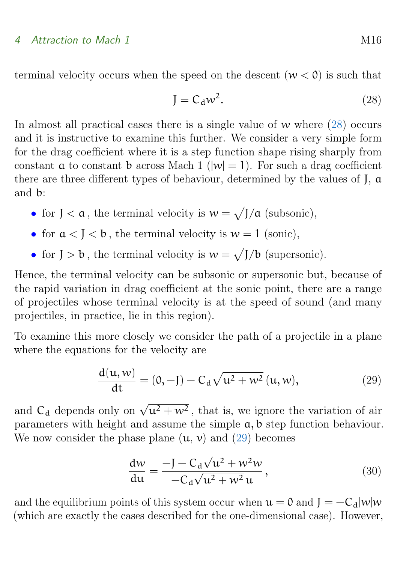terminal velocity occurs when the speed on the descent  $(w < 0)$  is such that

<span id="page-15-0"></span>
$$
J = C_d w^2. \tag{28}
$$

In almost all practical cases there is a single value of  $w$  where  $(28)$  occurs and it is instructive to examine this further. We consider a very simple form for the drag coefficient where it is a step function shape rising sharply from constant **a** to constant **b** across Mach 1 ( $|w| = 1$ ). For such a drag coefficient there are three different types of behaviour, determined by the values of J, a and b:

- for  $J < \alpha$ , the terminal velocity is  $w = \sqrt{J/\alpha}$  (subsonic),
- for  $a < J < b$ , the terminal velocity is  $w = 1$  (sonic),
- for  $J > b$ , the terminal velocity is  $w = \sqrt{J/b}$  (supersonic).

Hence, the terminal velocity can be subsonic or supersonic but, because of the rapid variation in drag coefficient at the sonic point, there are a range of projectiles whose terminal velocity is at the speed of sound (and many projectiles, in practice, lie in this region).

To examine this more closely we consider the path of a projectile in a plane where the equations for the velocity are

<span id="page-15-1"></span>
$$
\frac{d(u, w)}{dt} = (0, -J) - C_d \sqrt{u^2 + w^2} (u, w),
$$
\n(29)

and  $C_d$  depends only on  $\sqrt{u^2 + w^2}$ , that is, we ignore the variation of air parameters with height and assume the simple  $a, b$  step function behaviour. We now consider the phase plane  $(u, v)$  and  $(29)$  becomes

<span id="page-15-2"></span>
$$
\frac{\mathrm{d}w}{\mathrm{d}u} = \frac{-J - C_d \sqrt{u^2 + w^2}w}{-C_d \sqrt{u^2 + w^2}u},\qquad(30)
$$

and the equilibrium points of this system occur when  $u = 0$  and  $J = -C_d|w|w$ (which are exactly the cases described for the one-dimensional case). However,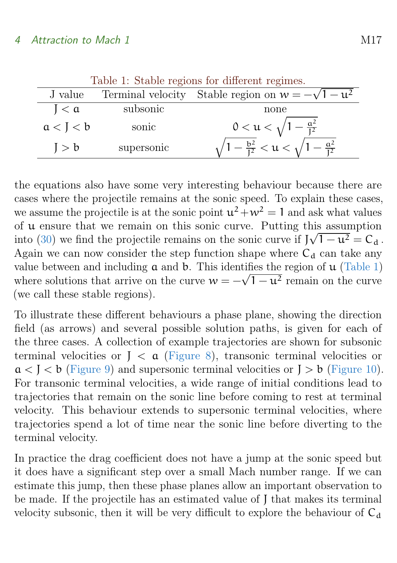| rable 1. Stable regions for different regimes. |            |                                                                       |  |  |  |
|------------------------------------------------|------------|-----------------------------------------------------------------------|--|--|--|
| J value                                        |            | Terminal velocity Stable region on $w = -\sqrt{1 - u^2}$              |  |  |  |
| I < a                                          | subsonic   | none                                                                  |  |  |  |
| a < J < b                                      | sonic      | $0 < \mathfrak{u} < \sqrt{1 - \frac{\mathfrak{a}^2}{\mathfrak{l}^2}}$ |  |  |  |
| J > b                                          | supersonic | $\sqrt{1-\frac{b^2}{I^2}} < u < \sqrt{1-\frac{a^2}{I^2}}$             |  |  |  |

<span id="page-16-0"></span>Table 1: Stable regions for different regimes

the equations also have some very interesting behaviour because there are cases where the projectile remains at the sonic speed. To explain these cases, we assume the projectile is at the sonic point  $u^2 + w^2 = 1$  and ask what values of u ensure that we remain on this sonic curve. Putting this assumption into [\(30\)](#page-15-2) we find the projectile remains on the sonic curve if  $J\sqrt{1-u^2} = C_d$ . Again we can now consider the step function shape where  $C_d$  can take any value between and including  $\alpha$  and  $\beta$ . This identifies the region of  $\mu$  [\(Table 1\)](#page-16-0) value between and including **a** and **b**. This identifies the region of **u** (Table 1) where solutions that arrive on the curve  $w = -\sqrt{1 - u^2}$  remain on the curve (we call these stable regions).

To illustrate these different behaviours a phase plane, showing the direction field (as arrows) and several possible solution paths, is given for each of the three cases. A collection of example trajectories are shown for subsonic terminal velocities or  $J < a$  [\(Figure 8\)](#page-17-1), transonic terminal velocities or  $a < J < b$  [\(Figure 9\)](#page-18-1) and supersonic terminal velocities or  $J > b$  [\(Figure 10\)](#page-19-0). For transonic terminal velocities, a wide range of initial conditions lead to trajectories that remain on the sonic line before coming to rest at terminal velocity. This behaviour extends to supersonic terminal velocities, where trajectories spend a lot of time near the sonic line before diverting to the terminal velocity.

In practice the drag coefficient does not have a jump at the sonic speed but it does have a significant step over a small Mach number range. If we can estimate this jump, then these phase planes allow an important observation to be made. If the projectile has an estimated value of J that makes its terminal velocity subsonic, then it will be very difficult to explore the behaviour of  $C_d$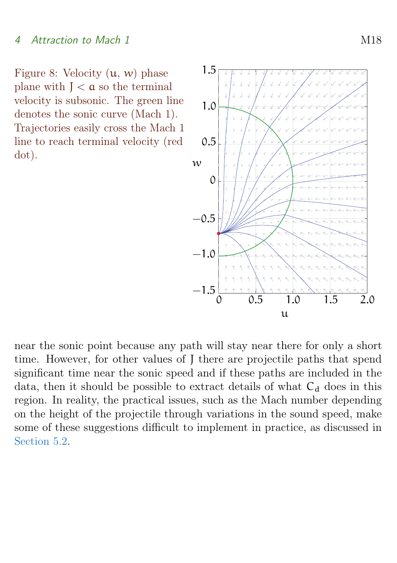<span id="page-17-1"></span>Figure 8: Velocity  $(u, w)$  phase plane with  $J < \alpha$  so the terminal velocity is subsonic. The green line denotes the sonic curve (Mach 1). Trajectories easily cross the Mach 1 line to reach terminal velocity (red dot).



<span id="page-17-0"></span>near the sonic point because any path will stay near there for only a short time. However, for other values of J there are projectile paths that spend significant time near the sonic speed and if these paths are included in the data, then it should be possible to extract details of what  $C_d$  does in this region. In reality, the practical issues, such as the Mach number depending on the height of the projectile through variations in the sound speed, make some of these suggestions difficult to implement in practice, as discussed in [Section 5.2.](#page-21-0)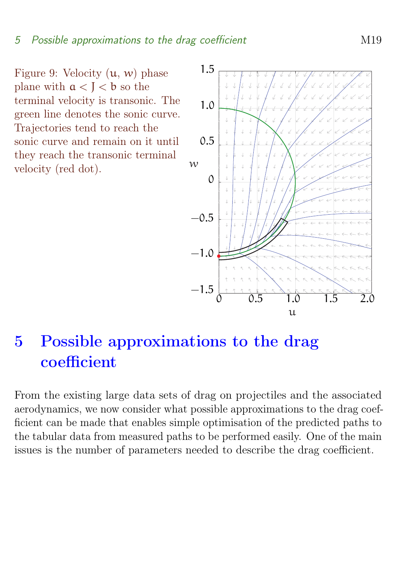<span id="page-18-1"></span>Figure 9: Velocity  $(u, w)$  phase plane with  $a < I < b$  so the terminal velocity is transonic. The green line denotes the sonic curve. Trajectories tend to reach the sonic curve and remain on it until they reach the transonic terminal velocity (red dot).



# 5 Possible approximations to the drag coefficient

<span id="page-18-0"></span>From the existing large data sets of drag on projectiles and the associated aerodynamics, we now consider what possible approximations to the drag coefficient can be made that enables simple optimisation of the predicted paths to the tabular data from measured paths to be performed easily. One of the main issues is the number of parameters needed to describe the drag coefficient.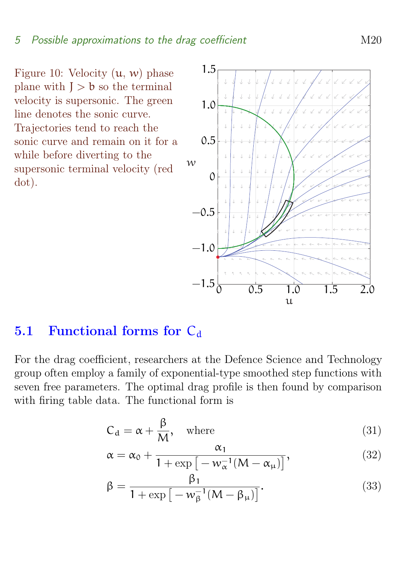<span id="page-19-0"></span>Figure 10: Velocity  $(u, w)$  phase plane with  $J > b$  so the terminal velocity is supersonic. The green line denotes the sonic curve. Trajectories tend to reach the sonic curve and remain on it for a while before diverting to the supersonic terminal velocity (red dot).



## 5.1 Functional forms for  $C_d$

For the drag coefficient, researchers at the Defence Science and Technology group often employ a family of exponential-type smoothed step functions with seven free parameters. The optimal drag profile is then found by comparison with firing table data. The functional form is

$$
C_d = \alpha + \frac{\beta}{M}, \quad \text{where} \tag{31}
$$

$$
\alpha = \alpha_0 + \frac{\alpha_1}{1 + \exp\left[-w_{\alpha}^{-1}(M - \alpha_{\mu})\right]},
$$
\n(32)

$$
\beta = \frac{\beta_1}{1 + \exp\left[-w_{\beta}^{-1}(M - \beta_{\mu})\right]}.
$$
\n(33)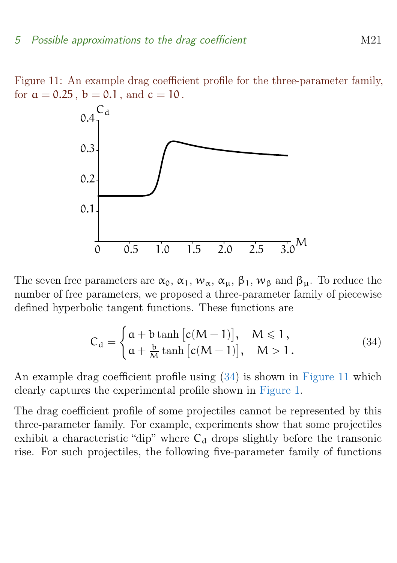Figure 11: An example drag coefficient profile for the three-parameter family, for  $a = 0.25$ ,  $b = 0.1$ , and  $c = 10$ .

<span id="page-20-1"></span>

The seven free parameters are  $\alpha_0$ ,  $\alpha_1$ ,  $w_\alpha$ ,  $\alpha_\mu$ ,  $\beta_1$ ,  $w_\beta$  and  $\beta_\mu$ . To reduce the number of free parameters, we proposed a three-parameter family of piecewise defined hyperbolic tangent functions. These functions are

<span id="page-20-0"></span>
$$
C_d = \begin{cases} a + b \tanh [c(M-1)], & M \leq 1, \\ a + \frac{b}{M} \tanh [c(M-1)], & M > 1. \end{cases}
$$
 (34)

An example drag coefficient profile using [\(34\)](#page-20-0) is shown in [Figure 11](#page-20-1) which clearly captures the experimental profile shown in [Figure 1.](#page-4-1)

The drag coefficient profile of some projectiles cannot be represented by this three-parameter family. For example, experiments show that some projectiles exhibit a characteristic "dip" where  $C_d$  drops slightly before the transonic rise. For such projectiles, the following five-parameter family of functions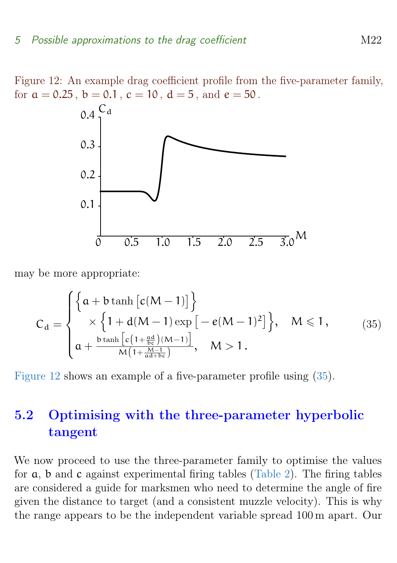Figure 12: An example drag coefficient profile from the five-parameter family, for  $a = 0.25$ ,  $b = 0.1$ ,  $c = 10$ ,  $d = 5$ , and  $e = 50$ .

<span id="page-21-1"></span>

may be more appropriate:

<span id="page-21-2"></span>
$$
C_d = \begin{cases} \left\{a + b \tanh\left[c(M-1)\right]\right\} \\ \times \left\{1 + d(M-1) \exp\left[-e(M-1)^2\right]\right\}, & M \leq 1, \\ a + \frac{b \tanh\left[c\left(1 + \frac{\alpha d}{bc}\right)(M-1)\right]}{M\left(1 + \frac{M-1}{\alpha d + bc}\right)}, & M > 1. \end{cases}
$$
 (35)

[Figure 12](#page-21-1) shows an example of a five-parameter profile using [\(35\)](#page-21-2).

# <span id="page-21-0"></span>5.2 Optimising with the three-parameter hyperbolic tangent

We now proceed to use the three-parameter family to optimise the values for a, b and c against experimental firing tables [\(Table 2\)](#page-22-0). The firing tables are considered a guide for marksmen who need to determine the angle of fire given the distance to target (and a consistent muzzle velocity). This is why the range appears to be the independent variable spread 100 m apart. Our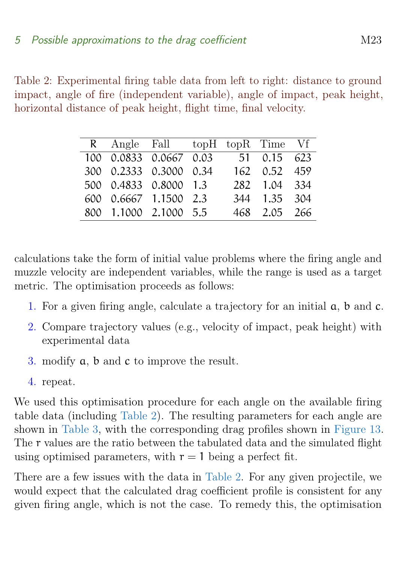<span id="page-22-0"></span>Table 2: Experimental firing table data from left to right: distance to ground impact, angle of fire (independent variable), angle of impact, peak height, horizontal distance of peak height, flight time, final velocity.

|  | R Angle Fall topH topR Time Vf |  |               |  |
|--|--------------------------------|--|---------------|--|
|  | 100 0.0833 0.0667 0.03         |  | 51 0.15 623   |  |
|  | 300 0.2333 0.3000 0.34         |  | 162 0.52 459  |  |
|  | 500 0.4833 0.8000 1.3          |  | 282 1.04 3.34 |  |
|  | 600 0.6667 1.1500 2.3          |  | 344 1.35 304  |  |
|  | 800 1.1000 2.1000 5.5          |  | 468 2.05 266  |  |

calculations take the form of initial value problems where the firing angle and muzzle velocity are independent variables, while the range is used as a target metric. The optimisation proceeds as follows:

- 1. For a given firing angle, calculate a trajectory for an initial a, b and c.
- 2. Compare trajectory values (e.g., velocity of impact, peak height) with experimental data
- 3. modify a, b and c to improve the result.
- 4. repeat.

We used this optimisation procedure for each angle on the available firing table data (including [Table 2\)](#page-22-0). The resulting parameters for each angle are shown in [Table 3,](#page-23-0) with the corresponding drag profiles shown in [Figure 13.](#page-23-1) The r values are the ratio between the tabulated data and the simulated flight using optimised parameters, with  $r = 1$  being a perfect fit.

There are a few issues with the data in [Table 2.](#page-22-0) For any given projectile, we would expect that the calculated drag coefficient profile is consistent for any given firing angle, which is not the case. To remedy this, the optimisation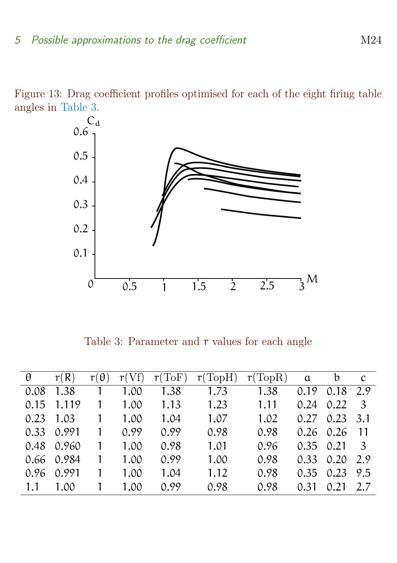Figure 13: Drag coefficient profiles optimised for each of the eight firing table angles in [Table 3.](#page-23-0)

<span id="page-23-1"></span>

<span id="page-23-0"></span>Table 3: Parameter and  $r$  values for each angle

| $\theta$ | r(R)       | $r(\theta)$ | r(Vf) | r(ToF) | r(TopH) | r(TopR) | $\alpha$ | $\mathbf b$ | <sub>c</sub> |
|----------|------------|-------------|-------|--------|---------|---------|----------|-------------|--------------|
| 0.08     | 1.38       |             | 1.00  | 1.38   | 1.73    | 1.38    | 0.19     | 0.18        | 2.9          |
| 0.15     | 1.119      |             | 1.00  | 1.13   | 1.23    | 1.11    | 0.24     | 0.22        | -3           |
| 0.23     | 1.03       |             | 1.00  | 1.04   | 1.07    | 1.02    | 0.27     | 0.23        | 3.1          |
|          | 0.33 0.991 |             | 0.99  | 0.99   | 0.98    | 0.98    |          | $0.26$ 0.26 | -11          |
|          | 0.48 0.960 |             | 1.00  | 0.98   | 1.01    | 0.96    | 0.35     | 0.21        | - 3          |
|          | 0.66 0.984 |             | 1.00  | 0.99   | 1.00    | 0.98    | 0.33     | 0.20        | 2.9          |
| 0.96     | 0.991      |             | 1.00  | 1.04   | 1.12    | 0.98    | 0.35     | 0.23        | 9.5          |
| 1.1      | 1.00       |             | 1.00  | 0.99   | 0.98    | 0.98    | 0.31     | 0.21        | 2.7          |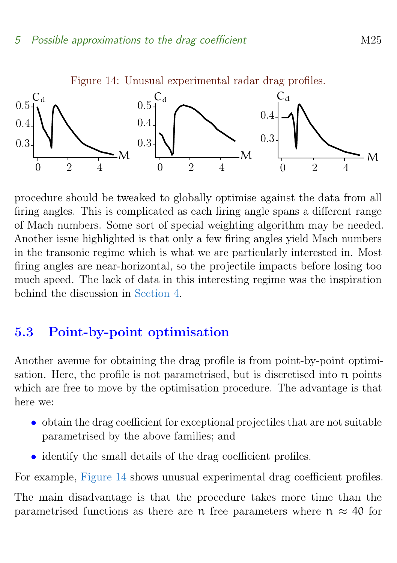

<span id="page-24-1"></span>Figure 14: Unusual experimental radar drag profiles.

procedure should be tweaked to globally optimise against the data from all firing angles. This is complicated as each firing angle spans a different range of Mach numbers. Some sort of special weighting algorithm may be needed. Another issue highlighted is that only a few firing angles yield Mach numbers in the transonic regime which is what we are particularly interested in. Most firing angles are near-horizontal, so the projectile impacts before losing too much speed. The lack of data in this interesting regime was the inspiration behind the discussion in [Section 4.](#page-13-0)

## <span id="page-24-0"></span>5.3 Point-by-point optimisation

Another avenue for obtaining the drag profile is from point-by-point optimisation. Here, the profile is not parametrised, but is discretised into  $n$  points which are free to move by the optimisation procedure. The advantage is that here we:

- obtain the drag coefficient for exceptional projectiles that are not suitable parametrised by the above families; and
- identify the small details of the drag coefficient profiles.

For example, [Figure 14](#page-24-1) shows unusual experimental drag coefficient profiles.

The main disadvantage is that the procedure takes more time than the parametrised functions as there are n free parameters where  $n \approx 40$  for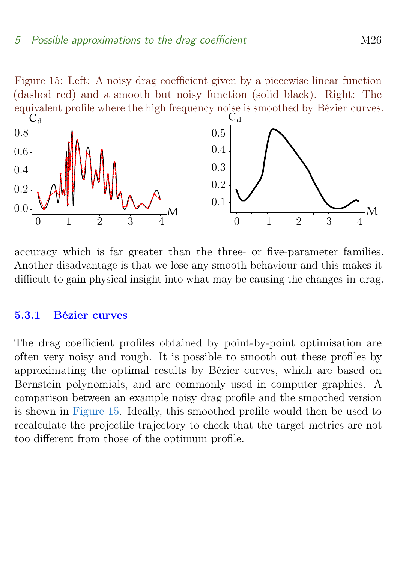<span id="page-25-2"></span>Figure 15: Left: A noisy drag coefficient given by a piecewise linear function (dashed red) and a smooth but noisy function (solid black). Right: The equivalent profile where the high frequency noise is smoothed by Bézier curves.



accuracy which is far greater than the three- or five-parameter families. Another disadvantage is that we lose any smooth behaviour and this makes it difficult to gain physical insight into what may be causing the changes in drag.

#### <span id="page-25-0"></span>5.3.1 Bézier curves

<span id="page-25-1"></span>The drag coefficient profiles obtained by point-by-point optimisation are often very noisy and rough. It is possible to smooth out these profiles by approximating the optimal results by Bézier curves, which are based on Bernstein polynomials, and are commonly used in computer graphics. A comparison between an example noisy drag profile and the smoothed version is shown in [Figure 15.](#page-25-2) Ideally, this smoothed profile would then be used to recalculate the projectile trajectory to check that the target metrics are not too different from those of the optimum profile.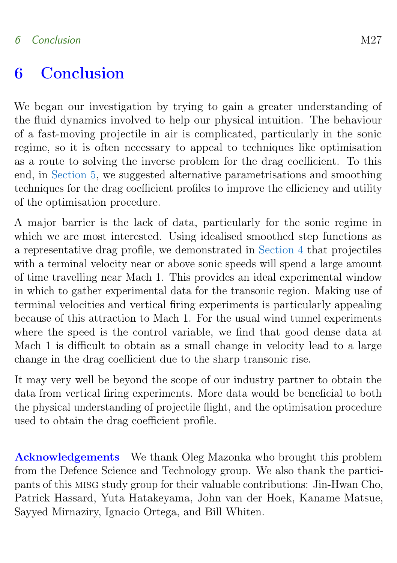# 6 Conclusion

We began our investigation by trying to gain a greater understanding of the fluid dynamics involved to help our physical intuition. The behaviour of a fast-moving projectile in air is complicated, particularly in the sonic regime, so it is often necessary to appeal to techniques like optimisation as a route to solving the inverse problem for the drag coefficient. To this end, in [Section 5,](#page-17-0) we suggested alternative parametrisations and smoothing techniques for the drag coefficient profiles to improve the efficiency and utility of the optimisation procedure.

A major barrier is the lack of data, particularly for the sonic regime in which we are most interested. Using idealised smoothed step functions as a representative drag profile, we demonstrated in [Section 4](#page-13-0) that projectiles with a terminal velocity near or above sonic speeds will spend a large amount of time travelling near Mach 1. This provides an ideal experimental window in which to gather experimental data for the transonic region. Making use of terminal velocities and vertical firing experiments is particularly appealing because of this attraction to Mach 1. For the usual wind tunnel experiments where the speed is the control variable, we find that good dense data at Mach 1 is difficult to obtain as a small change in velocity lead to a large change in the drag coefficient due to the sharp transonic rise.

It may very well be beyond the scope of our industry partner to obtain the data from vertical firing experiments. More data would be beneficial to both the physical understanding of projectile flight, and the optimisation procedure used to obtain the drag coefficient profile.

Acknowledgements We thank Oleg Mazonka who brought this problem from the Defence Science and Technology group. We also thank the participants of this misg study group for their valuable contributions: Jin-Hwan Cho, Patrick Hassard, Yuta Hatakeyama, John van der Hoek, Kaname Matsue, Sayyed Mirnaziry, Ignacio Ortega, and Bill Whiten.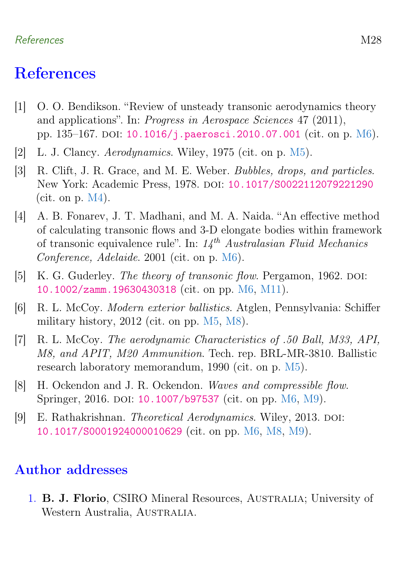## References M28

# References

- <span id="page-27-8"></span>[1] O. O. Bendikson. "Review of unsteady transonic aerodynamics theory and applications". In: Progress in Aerospace Sciences 47 (2011), pp. 135–167. doi: [10.1016/j.paerosci.2010.07.001](https://doi.org/10.1016/j.paerosci.2010.07.001) (cit. on p. [M6\)](#page-5-1).
- <span id="page-27-4"></span>[2] L. J. Clancy. *Aerodynamics*. Wiley, 1975 (cit. on p. [M5\)](#page-4-5).
- <span id="page-27-1"></span>[3] R. Clift, J. R. Grace, and M. E. Weber. *Bubbles, drops, and particles.* New York: Academic Press, 1978. doi: [10.1017/S0022112079221290](https://doi.org/10.1017/S0022112079221290) (cit. on  $p. M4$ ).
- <span id="page-27-7"></span>[4] A. B. Fonarev, J. T. Madhani, and M. A. Naida. "An effective method of calculating transonic flows and 3-D elongate bodies within framework of transonic equivalence rule". In:  $14<sup>th</sup>$  Australasian Fluid Mechanics Conference, Adelaide. 2001 (cit. on p. [M6\)](#page-5-1).
- <span id="page-27-5"></span>[5] K. G. Guderley. *The theory of transonic flow.* Pergamon, 1962. DOI: [10.1002/zamm.19630430318](https://doi.org/10.1002/zamm.19630430318) (cit. on pp. [M6,](#page-5-1) [M11\)](#page-10-2).
- <span id="page-27-3"></span>[6] R. L. McCoy. Modern exterior ballistics. Atglen, Pennsylvania: Schiffer military history, 2012 (cit. on pp. [M5,](#page-4-5) [M8\)](#page-7-2).
- <span id="page-27-2"></span>[7] R. L. McCoy. The aerodynamic Characteristics of .50 Ball, M33, API, M8, and APIT, M20 Ammunition. Tech. rep. BRL-MR-3810. Ballistic research laboratory memorandum, 1990 (cit. on p. [M5\)](#page-4-5).
- <span id="page-27-6"></span>[8] H. Ockendon and J. R. Ockendon. Waves and compressible flow. Springer, 2016. DOI: [10.1007/b97537](https://doi.org/10.1007/b97537) (cit. on pp. [M6,](#page-5-1) [M9\)](#page-8-3).
- <span id="page-27-9"></span>[9] E. Rathakrishnan. *Theoretical Aerodynamics*. Wiley, 2013. DOI: [10.1017/S0001924000010629](https://doi.org/10.1017/S0001924000010629) (cit. on pp. [M6,](#page-5-1) [M8,](#page-7-2) [M9\)](#page-8-3).

## <span id="page-27-0"></span>Author addresses

1. B. J. Florio, CSIRO Mineral Resources, Australia; University of Western Australia, Australia.